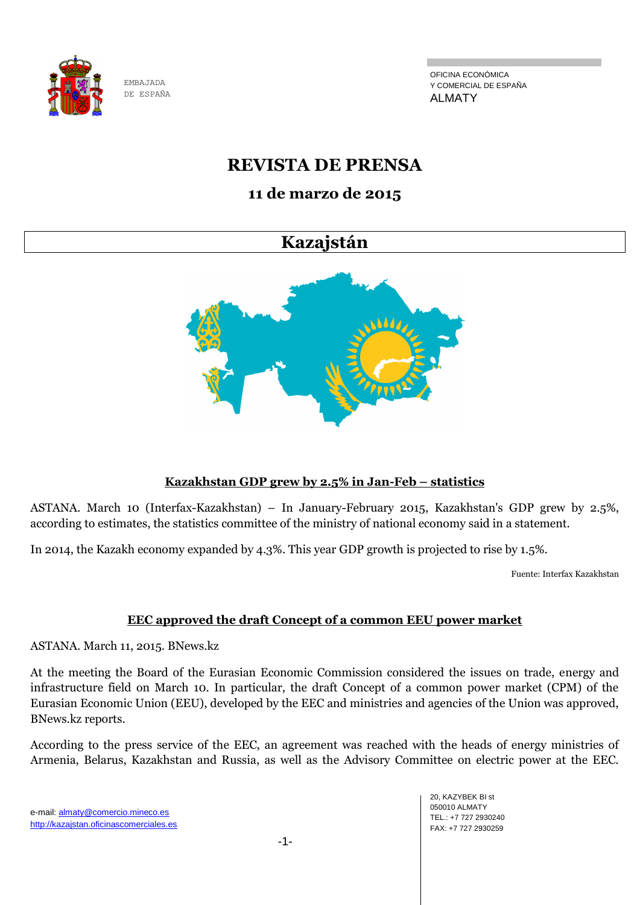

OFICINA ECONÓMICA Y COMERCIAL DE ESPAÑA ALMATY

## **REVISTA DE PRENSA**

## **11 de marzo de 2015**

## **Kazajstán**



## **Kazakhstan GDP grew by 2.5% in Jan-Feb – statistics**

ASTANA. March 10 (Interfax-Kazakhstan) – In January-February 2015, Kazakhstan's GDP grew by 2.5%, according to estimates, the statistics committee of the ministry of national economy said in a statement.

In 2014, the Kazakh economy expanded by 4.3%. This year GDP growth is projected to rise by 1.5%.

Fuente: Interfax Kazakhstan

## **EEC approved the draft Concept of a common EEU power market**

ASTANA. March 11, 2015. BNews.kz

At the meeting the Board of the Eurasian Economic Commission considered the issues on trade, energy and infrastructure field on March 10. In particular, the draft Concept of a common power market (CPM) of the Eurasian Economic Union (EEU), developed by the EEC and ministries and agencies of the Union was approved, BNews.kz reports.

According to the press service of the EEC, an agreement was reached with the heads of energy ministries of Armenia, Belarus, Kazakhstan and Russia, as well as the Advisory Committee on electric power at the EEC.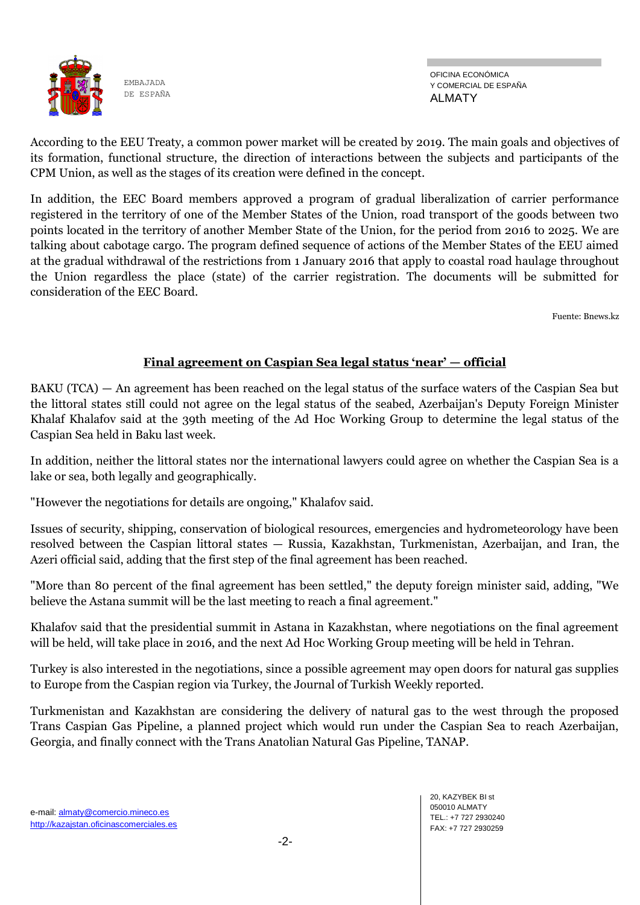

OFICINA ECONÓMICA Y COMERCIAL DE ESPAÑA ALMATY

According to the EEU Treaty, a common power market will be created by 2019. The main goals and objectives of its formation, functional structure, the direction of interactions between the subjects and participants of the CPM Union, as well as the stages of its creation were defined in the concept.

In addition, the EEC Board members approved a program of gradual liberalization of carrier performance registered in the territory of one of the Member States of the Union, road transport of the goods between two points located in the territory of another Member State of the Union, for the period from 2016 to 2025. We are talking about cabotage cargo. The program defined sequence of actions of the Member States of the EEU aimed at the gradual withdrawal of the restrictions from 1 January 2016 that apply to coastal road haulage throughout the Union regardless the place (state) of the carrier registration. The documents will be submitted for consideration of the EEC Board.

Fuente: Bnews.kz

### **Final agreement on Caspian Sea legal status 'near' — official**

BAKU (TCA) — An agreement has been reached on the legal status of the surface waters of the Caspian Sea but the littoral states still could not agree on the legal status of the seabed, Azerbaijan's Deputy Foreign Minister Khalaf Khalafov said at the 39th meeting of the Ad Hoc Working Group to determine the legal status of the Caspian Sea held in Baku last week.

In addition, neither the littoral states nor the international lawyers could agree on whether the Caspian Sea is a lake or sea, both legally and geographically.

"However the negotiations for details are ongoing," Khalafov said.

Issues of security, shipping, conservation of biological resources, emergencies and hydrometeorology have been resolved between the Caspian littoral states — Russia, Kazakhstan, Turkmenistan, Azerbaijan, and Iran, the Azeri official said, adding that the first step of the final agreement has been reached.

"More than 80 percent of the final agreement has been settled," the deputy foreign minister said, adding, "We believe the Astana summit will be the last meeting to reach a final agreement."

Khalafov said that the presidential summit in Astana in Kazakhstan, where negotiations on the final agreement will be held, will take place in 2016, and the next Ad Hoc Working Group meeting will be held in Tehran.

Turkey is also interested in the negotiations, since a possible agreement may open doors for natural gas supplies to Europe from the Caspian region via Turkey, the Journal of Turkish Weekly reported.

Turkmenistan and Kazakhstan are considering the delivery of natural gas to the west through the proposed Trans Caspian Gas Pipeline, a planned project which would run under the Caspian Sea to reach Azerbaijan, Georgia, and finally connect with the Trans Anatolian Natural Gas Pipeline, TANAP.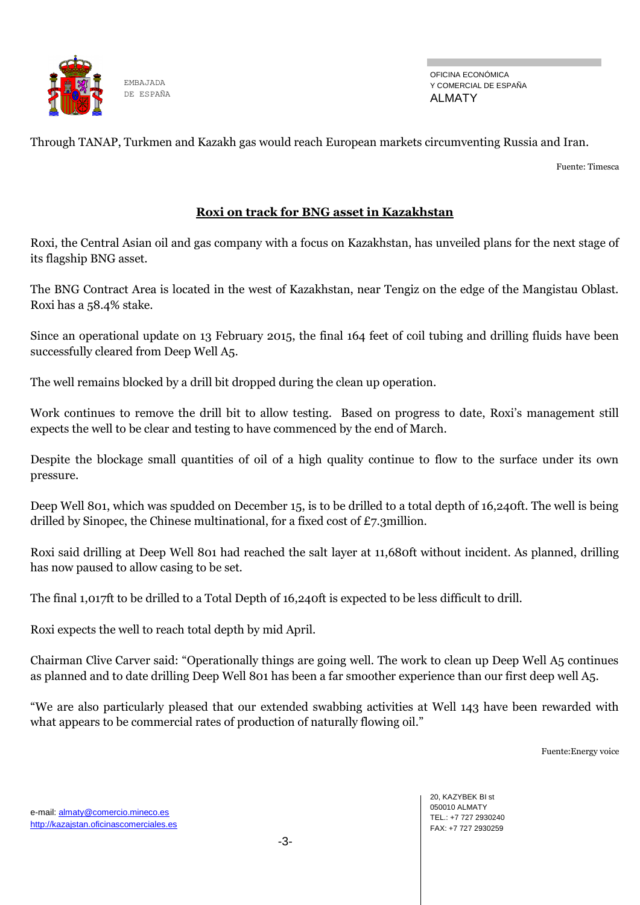

Through TANAP, Turkmen and Kazakh gas would reach European markets circumventing Russia and Iran.

Fuente: Timesca

#### **Roxi on track for BNG asset in Kazakhstan**

Roxi, the Central Asian oil and gas company with a focus on Kazakhstan, has unveiled plans for the next stage of its flagship BNG asset.

The BNG Contract Area is located in the west of Kazakhstan, near Tengiz on the edge of the Mangistau Oblast. Roxi has a 58.4% stake.

Since an operational update on 13 February 2015, the final 164 feet of coil tubing and drilling fluids have been successfully cleared from Deep Well A5.

The well remains blocked by a drill bit dropped during the clean up operation.

Work continues to remove the drill bit to allow testing. Based on progress to date, Roxi's management still expects the well to be clear and testing to have commenced by the end of March.

Despite the blockage small quantities of oil of a high quality continue to flow to the surface under its own pressure.

Deep Well 801, which was spudded on December 15, is to be drilled to a total depth of 16,240ft. The well is being drilled by Sinopec, the Chinese multinational, for a fixed cost of £7.3million.

Roxi said drilling at Deep Well 801 had reached the salt layer at 11,680ft without incident. As planned, drilling has now paused to allow casing to be set.

The final 1,017ft to be drilled to a Total Depth of 16,240ft is expected to be less difficult to drill.

Roxi expects the well to reach total depth by mid April.

Chairman Clive Carver said: "Operationally things are going well. The work to clean up Deep Well A5 continues as planned and to date drilling Deep Well 801 has been a far smoother experience than our first deep well A5.

―We are also particularly pleased that our extended swabbing activities at Well 143 have been rewarded with what appears to be commercial rates of production of naturally flowing oil."

Fuente:Energy voice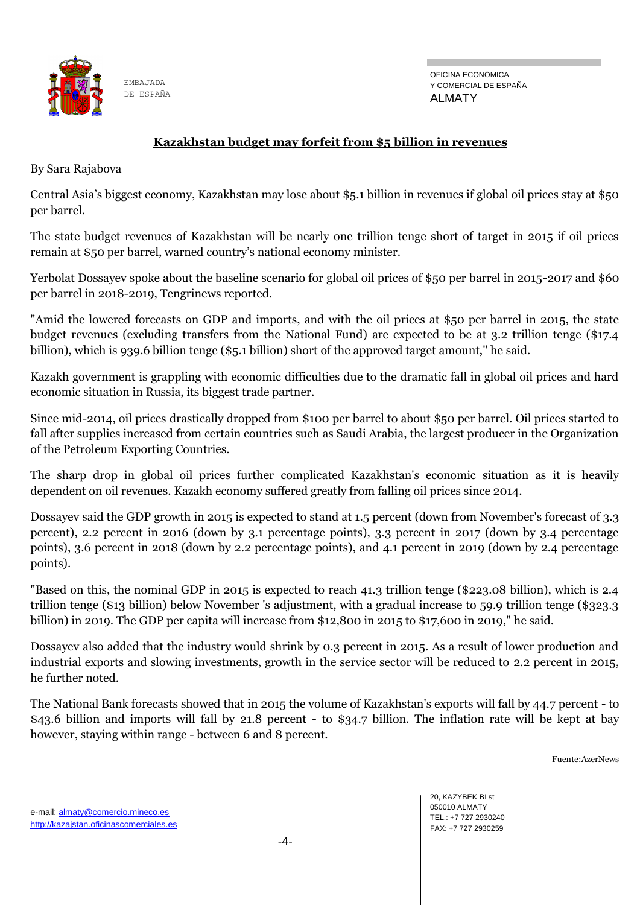

OFICINA ECONÓMICA Y COMERCIAL DE ESPAÑA ALMATY

### **Kazakhstan budget may forfeit from \$5 billion in revenues**

By Sara Rajabova

Central Asia's biggest economy, Kazakhstan may lose about \$5.1 billion in revenues if global oil prices stay at \$50 per barrel.

The state budget revenues of Kazakhstan will be nearly one trillion tenge short of target in 2015 if oil prices remain at \$50 per barrel, warned country's national economy minister.

Yerbolat Dossayev spoke about the baseline scenario for global oil prices of \$50 per barrel in 2015-2017 and \$60 per barrel in 2018-2019, Tengrinews reported.

"Amid the lowered forecasts on GDP and imports, and with the oil prices at \$50 per barrel in 2015, the state budget revenues (excluding transfers from the National Fund) are expected to be at 3.2 trillion tenge (\$17.4 billion), which is 939.6 billion tenge (\$5.1 billion) short of the approved target amount," he said.

Kazakh government is grappling with economic difficulties due to the dramatic fall in global oil prices and hard economic situation in Russia, its biggest trade partner.

Since mid-2014, oil prices drastically dropped from \$100 per barrel to about \$50 per barrel. Oil prices started to fall after supplies increased from certain countries such as Saudi Arabia, the largest producer in the Organization of the Petroleum Exporting Countries.

The sharp drop in global oil prices further complicated Kazakhstan's economic situation as it is heavily dependent on oil revenues. Kazakh economy suffered greatly from falling oil prices since 2014.

Dossayev said the GDP growth in 2015 is expected to stand at 1.5 percent (down from November's forecast of 3.3 percent), 2.2 percent in 2016 (down by 3.1 percentage points), 3.3 percent in 2017 (down by 3.4 percentage points), 3.6 percent in 2018 (down by 2.2 percentage points), and 4.1 percent in 2019 (down by 2.4 percentage points).

"Based on this, the nominal GDP in 2015 is expected to reach 41.3 trillion tenge (\$223.08 billion), which is 2.4 trillion tenge (\$13 billion) below November 's adjustment, with a gradual increase to 59.9 trillion tenge (\$323.3 billion) in 2019. The GDP per capita will increase from \$12,800 in 2015 to \$17,600 in 2019," he said.

Dossayev also added that the industry would shrink by 0.3 percent in 2015. As a result of lower production and industrial exports and slowing investments, growth in the service sector will be reduced to 2.2 percent in 2015, he further noted.

The National Bank forecasts showed that in 2015 the volume of Kazakhstan's exports will fall by 44.7 percent - to \$43.6 billion and imports will fall by 21.8 percent - to \$34.7 billion. The inflation rate will be kept at bay however, staying within range - between 6 and 8 percent.

Fuente:AzerNews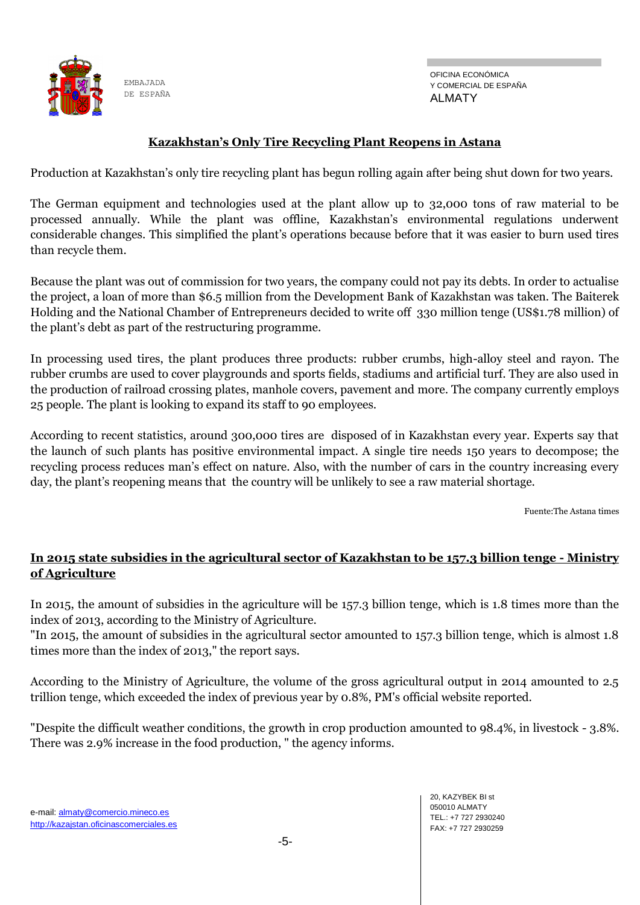

#### **Kazakhstan's Only Tire Recycling Plant Reopens in Astana**

Production at Kazakhstan's only tire recycling plant has begun rolling again after being shut down for two years.

The German equipment and technologies used at the plant allow up to 32,000 tons of raw material to be processed annually. While the plant was offline, Kazakhstan's environmental regulations underwent considerable changes. This simplified the plant's operations because before that it was easier to burn used tires than recycle them.

Because the plant was out of commission for two years, the company could not pay its debts. In order to actualise the project, a loan of more than \$6.5 million from the Development Bank of Kazakhstan was taken. The Baiterek Holding and the National Chamber of Entrepreneurs decided to write off 330 million tenge (US\$1.78 million) of the plant's debt as part of the restructuring programme.

In processing used tires, the plant produces three products: rubber crumbs, high-alloy steel and rayon. The rubber crumbs are used to cover playgrounds and sports fields, stadiums and artificial turf. They are also used in the production of railroad crossing plates, manhole covers, pavement and more. The company currently employs 25 people. The plant is looking to expand its staff to 90 employees.

According to recent statistics, around 300,000 tires are disposed of in Kazakhstan every year. Experts say that the launch of such plants has positive environmental impact. A single tire needs 150 years to decompose; the recycling process reduces man's effect on nature. Also, with the number of cars in the country increasing every day, the plant's reopening means that the country will be unlikely to see a raw material shortage.

Fuente:The Astana times

## **In 2015 state subsidies in the agricultural sector of Kazakhstan to be 157.3 billion tenge - Ministry of Agriculture**

In 2015, the amount of subsidies in the agriculture will be 157.3 billion tenge, which is 1.8 times more than the index of 2013, according to the Ministry of Agriculture.

"In 2015, the amount of subsidies in the agricultural sector amounted to 157.3 billion tenge, which is almost 1.8 times more than the index of 2013," the report says.

According to the Ministry of Agriculture, the volume of the gross agricultural output in 2014 amounted to 2.5 trillion tenge, which exceeded the index of previous year by 0.8%, PM's official website reported.

"Despite the difficult weather conditions, the growth in crop production amounted to 98.4%, in livestock - 3.8%. There was 2.9% increase in the food production, " the agency informs.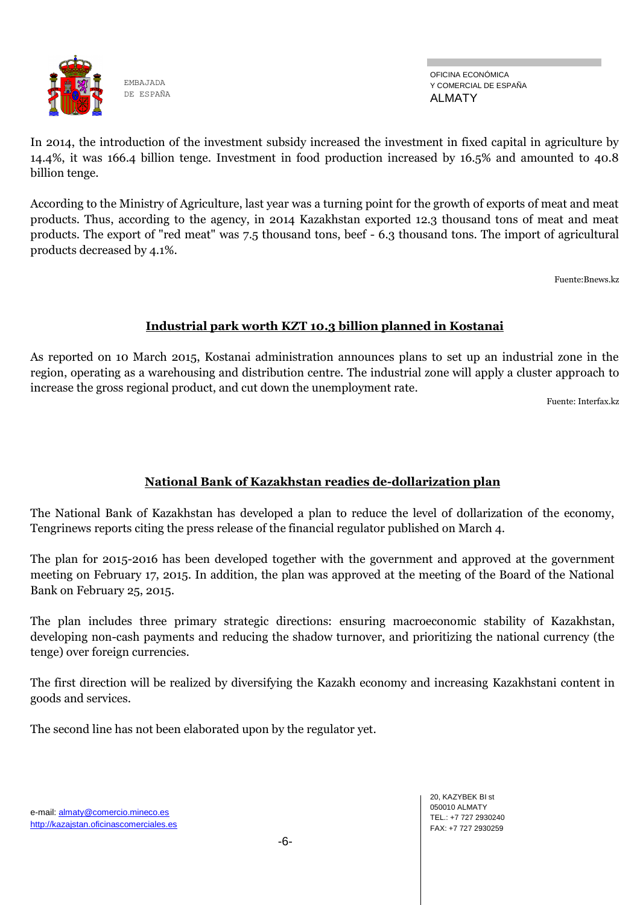

OFICINA ECONÓMICA Y COMERCIAL DE ESPAÑA ALMATY

In 2014, the introduction of the investment subsidy increased the investment in fixed capital in agriculture by 14.4%, it was 166.4 billion tenge. Investment in food production increased by 16.5% and amounted to 40.8 billion tenge.

According to the Ministry of Agriculture, last year was a turning point for the growth of exports of meat and meat products. Thus, according to the agency, in 2014 Kazakhstan exported 12.3 thousand tons of meat and meat products. The export of "red meat" was 7.5 thousand tons, beef - 6.3 thousand tons. The import of agricultural products decreased by 4.1%.

Fuente:Bnews.kz

## **Industrial park worth KZT 10.3 billion planned in Kostanai**

As reported on 10 March 2015, Kostanai administration announces plans to set up an industrial zone in the region, operating as a warehousing and distribution centre. The industrial zone will apply a cluster approach to increase the gross regional product, and cut down the unemployment rate.

Fuente: Interfax.kz

## **National Bank of Kazakhstan readies de-dollarization plan**

The National Bank of Kazakhstan has developed a plan to reduce the level of dollarization of the economy, Tengrinews reports citing the press release of the financial regulator published on March 4.

The plan for 2015-2016 has been developed together with the government and approved at the government meeting on February 17, 2015. In addition, the plan was approved at the meeting of the Board of the National Bank on February 25, 2015.

The plan includes three primary strategic directions: ensuring macroeconomic stability of Kazakhstan, developing non-cash payments and reducing the shadow turnover, and prioritizing the national currency (the tenge) over foreign currencies.

The first direction will be realized by diversifying the Kazakh economy and increasing Kazakhstani content in goods and services.

The second line has not been elaborated upon by the regulator yet.

-6-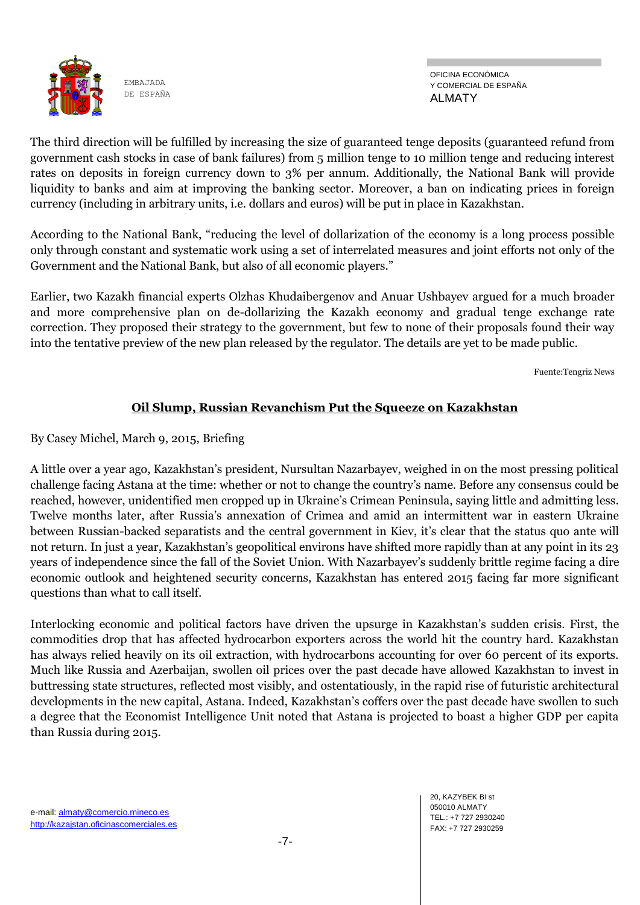

OFICINA ECONÓMICA Y COMERCIAL DE ESPAÑA ALMATY

The third direction will be fulfilled by increasing the size of guaranteed tenge deposits (guaranteed refund from government cash stocks in case of bank failures) from 5 million tenge to 10 million tenge and reducing interest rates on deposits in foreign currency down to 3% per annum. Additionally, the National Bank will provide liquidity to banks and aim at improving the banking sector. Moreover, a ban on indicating prices in foreign currency (including in arbitrary units, i.e. dollars and euros) will be put in place in Kazakhstan.

According to the National Bank, "reducing the level of dollarization of the economy is a long process possible only through constant and systematic work using a set of interrelated measures and joint efforts not only of the Government and the National Bank, but also of all economic players."

Earlier, two Kazakh financial experts Olzhas Khudaibergenov and Anuar Ushbayev argued for a much broader and more comprehensive plan on de-dollarizing the Kazakh economy and gradual tenge exchange rate correction. They proposed their strategy to the government, but few to none of their proposals found their way into the tentative preview of the new plan released by the regulator. The details are yet to be made public.

Fuente:Tengriz News

## **Oil Slump, Russian Revanchism Put the Squeeze on Kazakhstan**

By Casey Michel, March 9, 2015, Briefing

A little over a year ago, Kazakhstan's president, Nursultan Nazarbayev, weighed in on the most pressing political challenge facing Astana at the time: whether or not to change the country's name. Before any consensus could be reached, however, unidentified men cropped up in Ukraine's Crimean Peninsula, saying little and admitting less. Twelve months later, after Russia's annexation of Crimea and amid an intermittent war in eastern Ukraine between Russian-backed separatists and the central government in Kiev, it's clear that the status quo ante will not return. In just a year, Kazakhstan's geopolitical environs have shifted more rapidly than at any point in its 23 years of independence since the fall of the Soviet Union. With Nazarbayev's suddenly brittle regime facing a dire economic outlook and heightened security concerns, Kazakhstan has entered 2015 facing far more significant questions than what to call itself.

Interlocking economic and political factors have driven the upsurge in Kazakhstan's sudden crisis. First, the commodities drop that has affected hydrocarbon exporters across the world hit the country hard. Kazakhstan has always relied heavily on its oil extraction, with hydrocarbons accounting for over 60 percent of its exports. Much like Russia and Azerbaijan, swollen oil prices over the past decade have allowed Kazakhstan to invest in buttressing state structures, reflected most visibly, and ostentatiously, in the rapid rise of futuristic architectural developments in the new capital, Astana. Indeed, Kazakhstan's coffers over the past decade have swollen to such a degree that the Economist Intelligence Unit noted that Astana is projected to boast a higher GDP per capita than Russia during 2015.

> 20, KAZYBEK BI st 050010 ALMATY TEL.: +7 727 2930240 FAX: +7 727 2930259

e-mail: almaty@comercio.mineco.es http://kazajstan.oficinascomerciales.es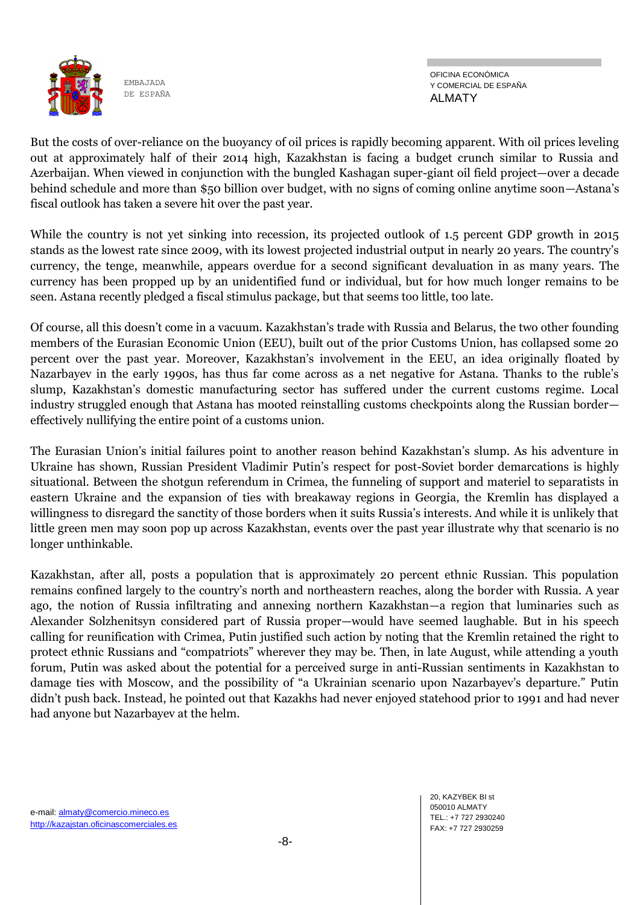

OFICINA ECONÓMICA Y COMERCIAL DE ESPAÑA ALMATY

But the costs of over-reliance on the buoyancy of oil prices is rapidly becoming apparent. With oil prices leveling out at approximately half of their 2014 high, Kazakhstan is facing a budget crunch similar to Russia and Azerbaijan. When viewed in conjunction with the bungled Kashagan super-giant oil field project—over a decade behind schedule and more than \$50 billion over budget, with no signs of coming online anytime soon—Astana's fiscal outlook has taken a severe hit over the past year.

While the country is not yet sinking into recession, its projected outlook of 1.5 percent GDP growth in 2015 stands as the lowest rate since 2009, with its lowest projected industrial output in nearly 20 years. The country's currency, the tenge, meanwhile, appears overdue for a second significant devaluation in as many years. The currency has been propped up by an unidentified fund or individual, but for how much longer remains to be seen. Astana recently pledged a fiscal stimulus package, but that seems too little, too late.

Of course, all this doesn't come in a vacuum. Kazakhstan's trade with Russia and Belarus, the two other founding members of the Eurasian Economic Union (EEU), built out of the prior Customs Union, has collapsed some 20 percent over the past year. Moreover, Kazakhstan's involvement in the EEU, an idea originally floated by Nazarbayev in the early 1990s, has thus far come across as a net negative for Astana. Thanks to the ruble's slump, Kazakhstan's domestic manufacturing sector has suffered under the current customs regime. Local industry struggled enough that Astana has mooted reinstalling customs checkpoints along the Russian border effectively nullifying the entire point of a customs union.

The Eurasian Union's initial failures point to another reason behind Kazakhstan's slump. As his adventure in Ukraine has shown, Russian President Vladimir Putin's respect for post-Soviet border demarcations is highly situational. Between the shotgun referendum in Crimea, the funneling of support and materiel to separatists in eastern Ukraine and the expansion of ties with breakaway regions in Georgia, the Kremlin has displayed a willingness to disregard the sanctity of those borders when it suits Russia's interests. And while it is unlikely that little green men may soon pop up across Kazakhstan, events over the past year illustrate why that scenario is no longer unthinkable.

Kazakhstan, after all, posts a population that is approximately 20 percent ethnic Russian. This population remains confined largely to the country's north and northeastern reaches, along the border with Russia. A year ago, the notion of Russia infiltrating and annexing northern Kazakhstan—a region that luminaries such as Alexander Solzhenitsyn considered part of Russia proper—would have seemed laughable. But in his speech calling for reunification with Crimea, Putin justified such action by noting that the Kremlin retained the right to protect ethnic Russians and "compatriots" wherever they may be. Then, in late August, while attending a youth forum, Putin was asked about the potential for a perceived surge in anti-Russian sentiments in Kazakhstan to damage ties with Moscow, and the possibility of "a Ukrainian scenario upon Nazarbayev's departure." Putin didn't push back. Instead, he pointed out that Kazakhs had never enjoyed statehood prior to 1991 and had never had anyone but Nazarbayev at the helm.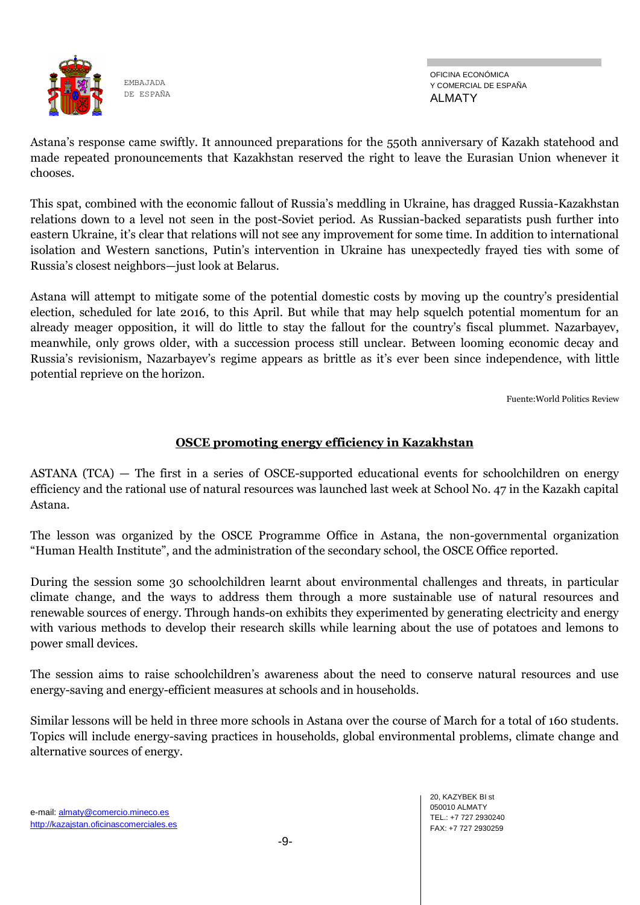

OFICINA ECONÓMICA Y COMERCIAL DE ESPAÑA ALMATY

Astana's response came swiftly. It announced preparations for the 550th anniversary of Kazakh statehood and made repeated pronouncements that Kazakhstan reserved the right to leave the Eurasian Union whenever it chooses.

This spat, combined with the economic fallout of Russia's meddling in Ukraine, has dragged Russia-Kazakhstan relations down to a level not seen in the post-Soviet period. As Russian-backed separatists push further into eastern Ukraine, it's clear that relations will not see any improvement for some time. In addition to international isolation and Western sanctions, Putin's intervention in Ukraine has unexpectedly frayed ties with some of Russia's closest neighbors—just look at Belarus.

Astana will attempt to mitigate some of the potential domestic costs by moving up the country's presidential election, scheduled for late 2016, to this April. But while that may help squelch potential momentum for an already meager opposition, it will do little to stay the fallout for the country's fiscal plummet. Nazarbayev, meanwhile, only grows older, with a succession process still unclear. Between looming economic decay and Russia's revisionism, Nazarbayev's regime appears as brittle as it's ever been since independence, with little potential reprieve on the horizon.

Fuente:World Politics Review

#### **OSCE promoting energy efficiency in Kazakhstan**

ASTANA (TCA) — The first in a series of OSCE-supported educational events for schoolchildren on energy efficiency and the rational use of natural resources was launched last week at School No. 47 in the Kazakh capital Astana.

The lesson was organized by the OSCE Programme Office in Astana, the non-governmental organization "Human Health Institute", and the administration of the secondary school, the OSCE Office reported.

During the session some 30 schoolchildren learnt about environmental challenges and threats, in particular climate change, and the ways to address them through a more sustainable use of natural resources and renewable sources of energy. Through hands-on exhibits they experimented by generating electricity and energy with various methods to develop their research skills while learning about the use of potatoes and lemons to power small devices.

The session aims to raise schoolchildren's awareness about the need to conserve natural resources and use energy-saving and energy-efficient measures at schools and in households.

Similar lessons will be held in three more schools in Astana over the course of March for a total of 160 students. Topics will include energy-saving practices in households, global environmental problems, climate change and alternative sources of energy.

e-mail: almaty@comercio.mineco.es http://kazajstan.oficinascomerciales.es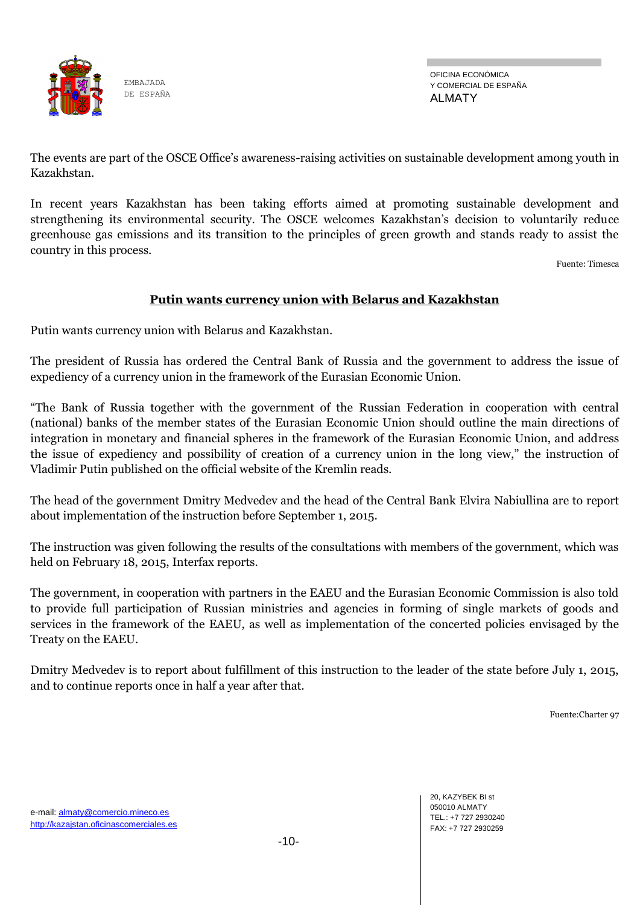

OFICINA ECONÓMICA Y COMERCIAL DE ESPAÑA ALMATY

The events are part of the OSCE Office's awareness-raising activities on sustainable development among youth in Kazakhstan.

In recent years Kazakhstan has been taking efforts aimed at promoting sustainable development and strengthening its environmental security. The OSCE welcomes Kazakhstan's decision to voluntarily reduce greenhouse gas emissions and its transition to the principles of green growth and stands ready to assist the country in this process.

Fuente: Timesca

#### **Putin wants currency union with Belarus and Kazakhstan**

Putin wants currency union with Belarus and Kazakhstan.

The president of Russia has ordered the Central Bank of Russia and the government to address the issue of expediency of a currency union in the framework of the Eurasian Economic Union.

―The Bank of Russia together with the government of the Russian Federation in cooperation with central (national) banks of the member states of the Eurasian Economic Union should outline the main directions of integration in monetary and financial spheres in the framework of the Eurasian Economic Union, and address the issue of expediency and possibility of creation of a currency union in the long view," the instruction of Vladimir Putin published on the official website of the Kremlin reads.

The head of the government Dmitry Medvedev and the head of the Central Bank Elvira Nabiullina are to report about implementation of the instruction before September 1, 2015.

The instruction was given following the results of the consultations with members of the government, which was held on February 18, 2015, Interfax reports.

The government, in cooperation with partners in the EAEU and the Eurasian Economic Commission is also told to provide full participation of Russian ministries and agencies in forming of single markets of goods and services in the framework of the EAEU, as well as implementation of the concerted policies envisaged by the Treaty on the EAEU.

Dmitry Medvedev is to report about fulfillment of this instruction to the leader of the state before July 1, 2015, and to continue reports once in half a year after that.

Fuente:Charter 97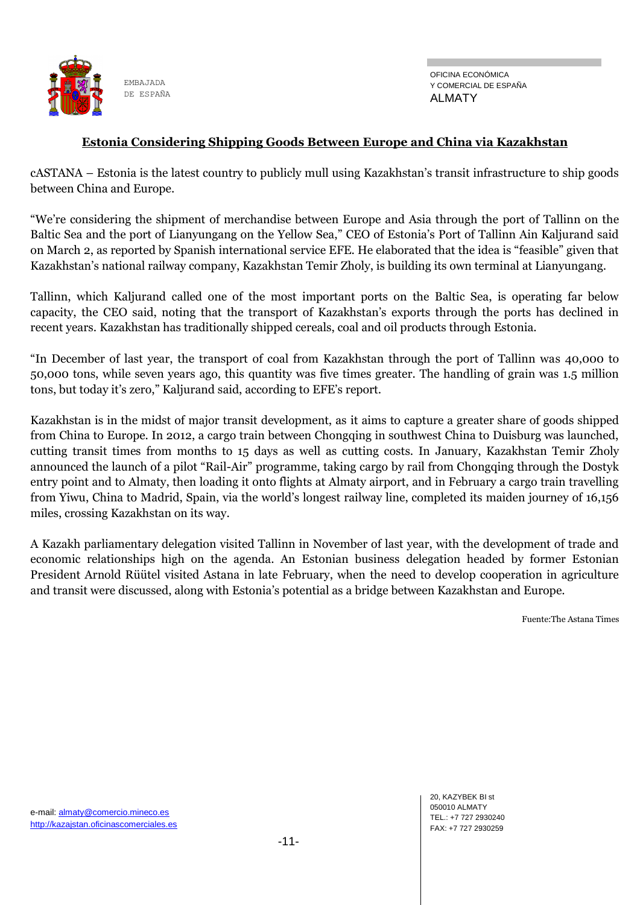

#### **Estonia Considering Shipping Goods Between Europe and China via Kazakhstan**

cASTANA – Estonia is the latest country to publicly mull using Kazakhstan's transit infrastructure to ship goods between China and Europe.

―We're considering the shipment of merchandise between Europe and Asia through the port of Tallinn on the Baltic Sea and the port of Lianyungang on the Yellow Sea," CEO of Estonia's Port of Tallinn Ain Kaljurand said on March 2, as reported by Spanish international service EFE. He elaborated that the idea is "feasible" given that Kazakhstan's national railway company, Kazakhstan Temir Zholy, is building its own terminal at Lianyungang.

Tallinn, which Kaljurand called one of the most important ports on the Baltic Sea, is operating far below capacity, the CEO said, noting that the transport of Kazakhstan's exports through the ports has declined in recent years. Kazakhstan has traditionally shipped cereals, coal and oil products through Estonia.

―In December of last year, the transport of coal from Kazakhstan through the port of Tallinn was 40,000 to 50,000 tons, while seven years ago, this quantity was five times greater. The handling of grain was 1.5 million tons, but today it's zero," Kaljurand said, according to EFE's report.

Kazakhstan is in the midst of major transit development, as it aims to capture a greater share of goods shipped from China to Europe. In 2012, a cargo train between Chongqing in southwest China to Duisburg was launched, cutting transit times from months to 15 days as well as cutting costs. In January, Kazakhstan Temir Zholy announced the launch of a pilot "Rail-Air" programme, taking cargo by rail from Chongqing through the Dostyk entry point and to Almaty, then loading it onto flights at Almaty airport, and in February a cargo train travelling from Yiwu, China to Madrid, Spain, via the world's longest railway line, completed its maiden journey of 16,156 miles, crossing Kazakhstan on its way.

A Kazakh parliamentary delegation visited Tallinn in November of last year, with the development of trade and economic relationships high on the agenda. An Estonian business delegation headed by former Estonian President Arnold Rüütel visited Astana in late February, when the need to develop cooperation in agriculture and transit were discussed, along with Estonia's potential as a bridge between Kazakhstan and Europe.

Fuente:The Astana Times

e-mail: almaty@comercio.mineco.es http://kazajstan.oficinascomerciales.es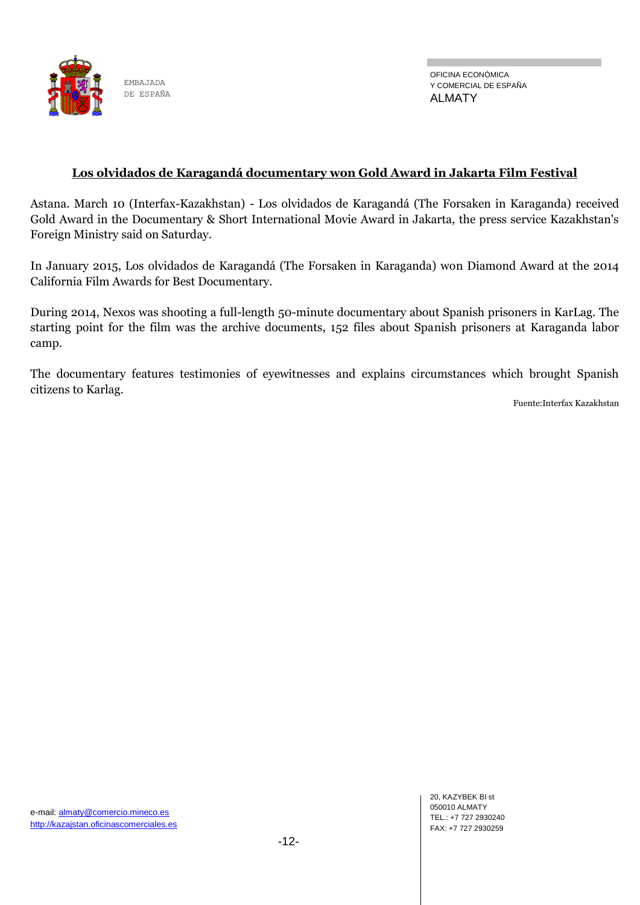

#### **Los olvidados de Karagandá documentary won Gold Award in Jakarta Film Festival**

Astana. March 10 (Interfax-Kazakhstan) - Los olvidados de Karagandá (The Forsaken in Karaganda) received Gold Award in the Documentary & Short International Movie Award in Jakarta, the press service Kazakhstan's Foreign Ministry said on Saturday.

In January 2015, Los olvidados de Karagandá (The Forsaken in Karaganda) won Diamond Award at the 2014 California Film Awards for Best Documentary.

During 2014, Nexos was shooting a full-length 50-minute documentary about Spanish prisoners in KarLag. The starting point for the film was the archive documents, 152 files about Spanish prisoners at Karaganda labor camp.

The documentary features testimonies of eyewitnesses and explains circumstances which brought Spanish citizens to Karlag.

Fuente:Interfax Kazakhstan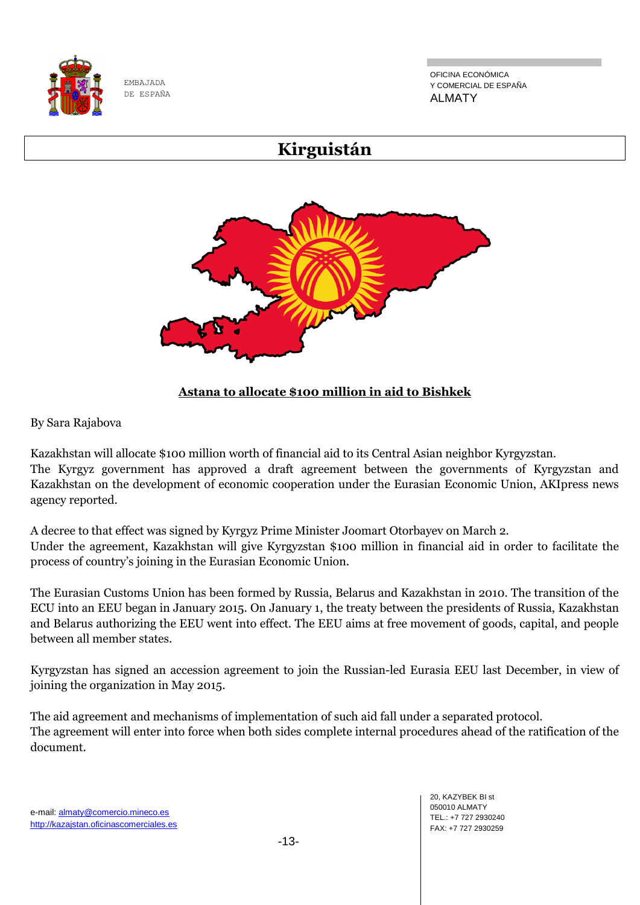

OFICINA ECONÓMICA Y COMERCIAL DE ESPAÑA ALMATY

# **Kirguistán**



## **Astana to allocate \$100 million in aid to Bishkek**

By Sara Rajabova

Kazakhstan will allocate \$100 million worth of financial aid to its Central Asian neighbor Kyrgyzstan. The Kyrgyz government has approved a draft agreement between the governments of Kyrgyzstan and Kazakhstan on the development of economic cooperation under the Eurasian Economic Union, AKIpress news agency reported.

A decree to that effect was signed by Kyrgyz Prime Minister Joomart Otorbayev on March 2. Under the agreement, Kazakhstan will give Kyrgyzstan \$100 million in financial aid in order to facilitate the process of country's joining in the Eurasian Economic Union.

The Eurasian Customs Union has been formed by Russia, Belarus and Kazakhstan in 2010. The transition of the ECU into an EEU began in January 2015. On January 1, the treaty between the presidents of Russia, Kazakhstan and Belarus authorizing the EEU went into effect. The EEU aims at free movement of goods, capital, and people between all member states.

Kyrgyzstan has signed an accession agreement to join the Russian-led Eurasia EEU last December, in view of joining the organization in May 2015.

The aid agreement and mechanisms of implementation of such aid fall under a separated protocol. The agreement will enter into force when both sides complete internal procedures ahead of the ratification of the document.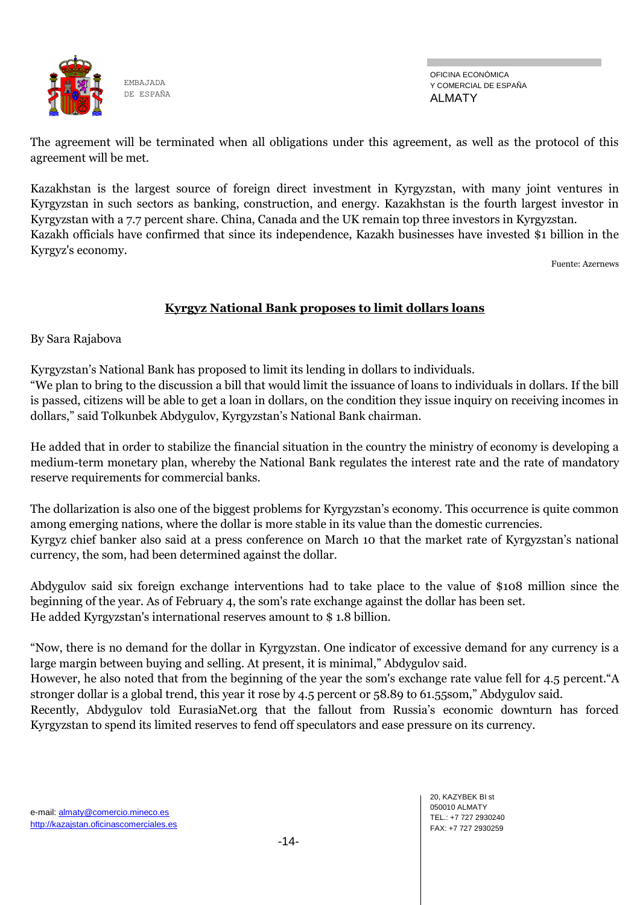

OFICINA ECONÓMICA Y COMERCIAL DE ESPAÑA ALMATY

The agreement will be terminated when all obligations under this agreement, as well as the protocol of this agreement will be met.

Kazakhstan is the largest source of foreign direct investment in Kyrgyzstan, with many joint ventures in Kyrgyzstan in such sectors as banking, construction, and energy. Kazakhstan is the fourth largest investor in Kyrgyzstan with a 7.7 percent share. China, Canada and the UK remain top three investors in Kyrgyzstan. Kazakh officials have confirmed that since its independence, Kazakh businesses have invested \$1 billion in the Kyrgyz's economy.

Fuente: Azernews

### **Kyrgyz National Bank proposes to limit dollars loans**

By Sara Rajabova

Kyrgyzstan's National Bank has proposed to limit its lending in dollars to individuals.

―We plan to bring to the discussion a bill that would limit the issuance of loans to individuals in dollars. If the bill is passed, citizens will be able to get a loan in dollars, on the condition they issue inquiry on receiving incomes in dollars,‖ said Tolkunbek Abdygulov, Kyrgyzstan's National Bank chairman.

He added that in order to stabilize the financial situation in the country the ministry of economy is developing a medium-term monetary plan, whereby the National Bank regulates the interest rate and the rate of mandatory reserve requirements for commercial banks.

The dollarization is also one of the biggest problems for Kyrgyzstan's economy. This occurrence is quite common among emerging nations, where the dollar is more stable in its value than the domestic currencies. Kyrgyz chief banker also said at a press conference on March 10 that the market rate of Kyrgyzstan's national currency, the som, had been determined against the dollar.

Abdygulov said six foreign exchange interventions had to take place to the value of \$108 million since the beginning of the year. As of February 4, the som's rate exchange against the dollar has been set. He added Kyrgyzstan's international reserves amount to \$ 1.8 billion.

―Now, there is no demand for the dollar in Kyrgyzstan. One indicator of excessive demand for any currency is a large margin between buying and selling. At present, it is minimal," Abdygulov said.

However, he also noted that from the beginning of the year the som's exchange rate value fell for 4.5 percent. "A stronger dollar is a global trend, this year it rose by 4.5 percent or 58.89 to 61.55som," Abdygulov said.

Recently, Abdygulov told EurasiaNet.org that the fallout from Russia's economic downturn has forced Kyrgyzstan to spend its limited reserves to fend off speculators and ease pressure on its currency.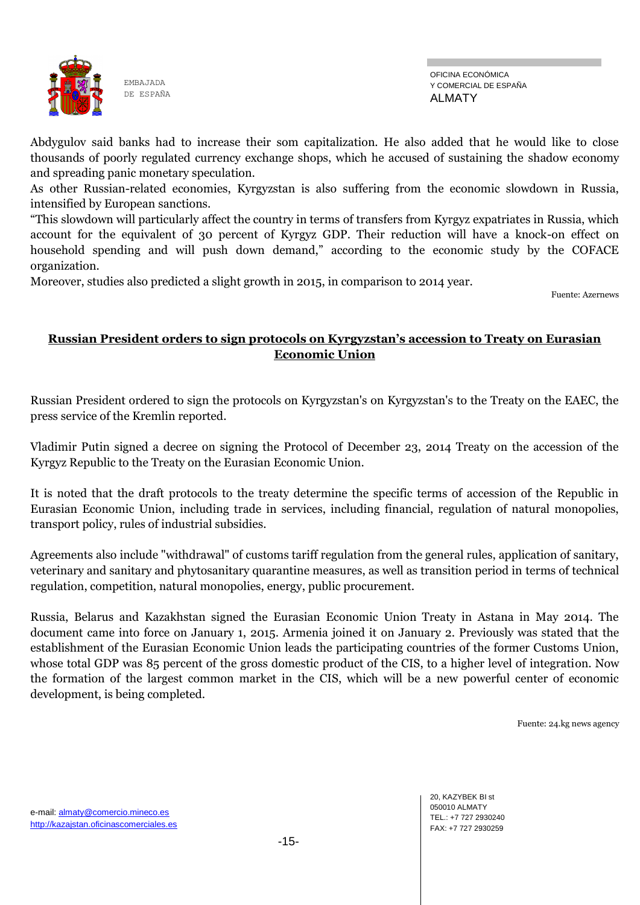

Abdygulov said banks had to increase their som capitalization. He also added that he would like to close thousands of poorly regulated currency exchange shops, which he accused of sustaining the shadow economy and spreading panic monetary speculation.

As other Russian-related economies, Kyrgyzstan is also suffering from the economic slowdown in Russia, intensified by European sanctions.

―This slowdown will particularly affect the country in terms of transfers from Kyrgyz expatriates in Russia, which account for the equivalent of 30 percent of Kyrgyz GDP. Their reduction will have a knock-on effect on household spending and will push down demand," according to the economic study by the COFACE organization.

Moreover, studies also predicted a slight growth in 2015, in comparison to 2014 year.

Fuente: Azernews

#### **Russian President orders to sign protocols on Kyrgyzstan's accession to Treaty on Eurasian Economic Union**

Russian President ordered to sign the protocols on Kyrgyzstan's on Kyrgyzstan's to the Treaty on the EAEC, the press service of the Kremlin reported.

Vladimir Putin signed a decree on signing the Protocol of December 23, 2014 Treaty on the accession of the Kyrgyz Republic to the Treaty on the Eurasian Economic Union.

It is noted that the draft protocols to the treaty determine the specific terms of accession of the Republic in Eurasian Economic Union, including trade in services, including financial, regulation of natural monopolies, transport policy, rules of industrial subsidies.

Agreements also include "withdrawal" of customs tariff regulation from the general rules, application of sanitary, veterinary and sanitary and phytosanitary quarantine measures, as well as transition period in terms of technical regulation, competition, natural monopolies, energy, public procurement.

Russia, Belarus and Kazakhstan signed the Eurasian Economic Union Treaty in Astana in May 2014. The document came into force on January 1, 2015. Armenia joined it on January 2. Previously was stated that the establishment of the Eurasian Economic Union leads the participating countries of the former Customs Union, whose total GDP was 85 percent of the gross domestic product of the CIS, to a higher level of integration. Now the formation of the largest common market in the CIS, which will be a new powerful center of economic development, is being completed.

Fuente: 24.kg news agency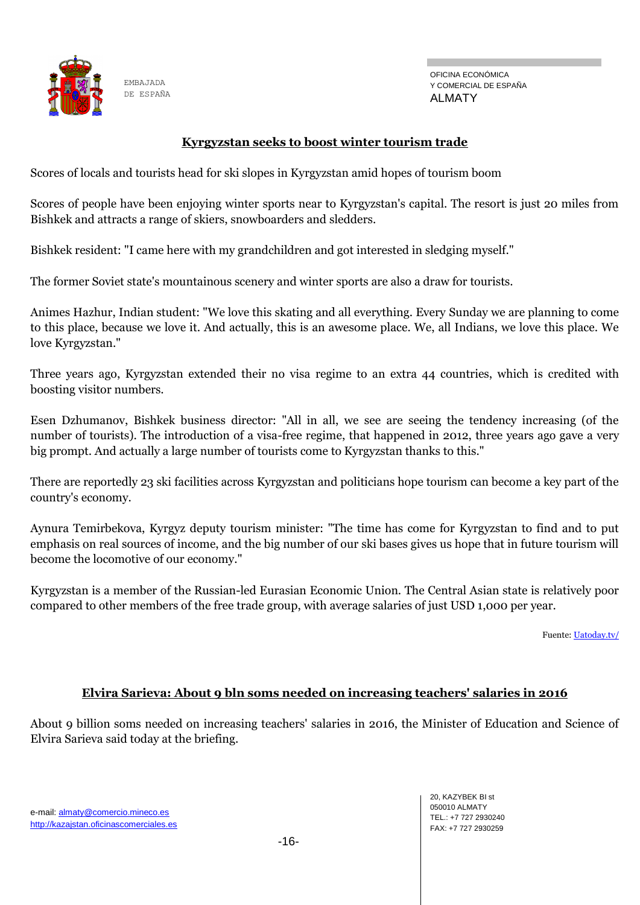

ALMATY

#### **Kyrgyzstan seeks to boost winter tourism trade**

Scores of locals and tourists head for ski slopes in Kyrgyzstan amid hopes of tourism boom

Scores of people have been enjoying winter sports near to Kyrgyzstan's capital. The resort is just 20 miles from Bishkek and attracts a range of skiers, snowboarders and sledders.

Bishkek resident: "I came here with my grandchildren and got interested in sledging myself."

The former Soviet state's mountainous scenery and winter sports are also a draw for tourists.

Animes Hazhur, Indian student: "We love this skating and all everything. Every Sunday we are planning to come to this place, because we love it. And actually, this is an awesome place. We, all Indians, we love this place. We love Kyrgyzstan."

Three years ago, Kyrgyzstan extended their no visa regime to an extra 44 countries, which is credited with boosting visitor numbers.

Esen Dzhumanov, Bishkek business director: "All in all, we see are seeing the tendency increasing (of the number of tourists). The introduction of a visa-free regime, that happened in 2012, three years ago gave a very big prompt. And actually a large number of tourists come to Kyrgyzstan thanks to this."

There are reportedly 23 ski facilities across Kyrgyzstan and politicians hope tourism can become a key part of the country's economy.

Aynura Temirbekova, Kyrgyz deputy tourism minister: "The time has come for Kyrgyzstan to find and to put emphasis on real sources of income, and the big number of our ski bases gives us hope that in future tourism will become the locomotive of our economy."

Kyrgyzstan is a member of the Russian-led Eurasian Economic Union. The Central Asian state is relatively poor compared to other members of the free trade group, with average salaries of just USD 1,000 per year.

Fuente[: Uatoday.tv/](http://uatoday.tv/)

#### **Elvira Sarieva: About 9 bln soms needed on increasing teachers' salaries in 2016**

About 9 billion soms needed on increasing teachers' salaries in 2016, the Minister of Education and Science of Elvira Sarieva said today at the briefing.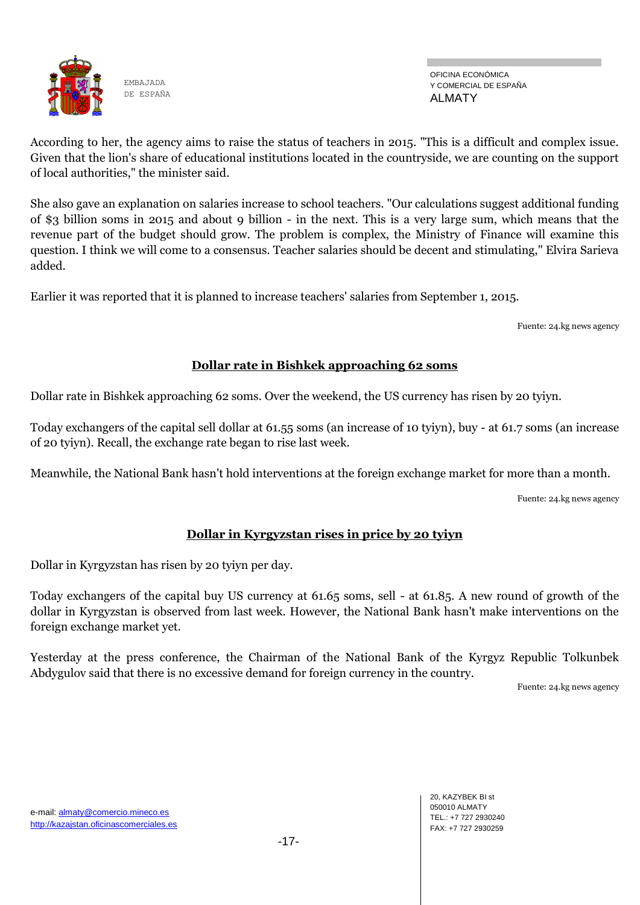

According to her, the agency aims to raise the status of teachers in 2015. "This is a difficult and complex issue. Given that the lion's share of educational institutions located in the countryside, we are counting on the support of local authorities," the minister said.

She also gave an explanation on salaries increase to school teachers. "Our calculations suggest additional funding of \$3 billion soms in 2015 and about 9 billion - in the next. This is a very large sum, which means that the revenue part of the budget should grow. The problem is complex, the Ministry of Finance will examine this question. I think we will come to a consensus. Teacher salaries should be decent and stimulating," Elvira Sarieva added.

Earlier it was reported that it is planned to increase teachers' salaries from September 1, 2015.

Fuente: 24.kg news agency

## **Dollar rate in Bishkek approaching 62 soms**

Dollar rate in Bishkek approaching 62 soms. Over the weekend, the US currency has risen by 20 tyiyn.

Today exchangers of the capital sell dollar at 61.55 soms (an increase of 10 tyiyn), buy - at 61.7 soms (an increase of 20 tyiyn). Recall, the exchange rate began to rise last week.

Meanwhile, the National Bank hasn't hold interventions at the foreign exchange market for more than a month.

Fuente: 24.kg news agency

## **Dollar in Kyrgyzstan rises in price by 20 tyiyn**

Dollar in Kyrgyzstan has risen by 20 tyiyn per day.

Today exchangers of the capital buy US currency at 61.65 soms, sell - at 61.85. A new round of growth of the dollar in Kyrgyzstan is observed from last week. However, the National Bank hasn't make interventions on the foreign exchange market yet.

Yesterday at the press conference, the Chairman of the National Bank of the Kyrgyz Republic Tolkunbek Abdygulov said that there is no excessive demand for foreign currency in the country.

Fuente: 24.kg news agency

e-mail: almaty@comercio.mineco.es http://kazajstan.oficinascomerciales.es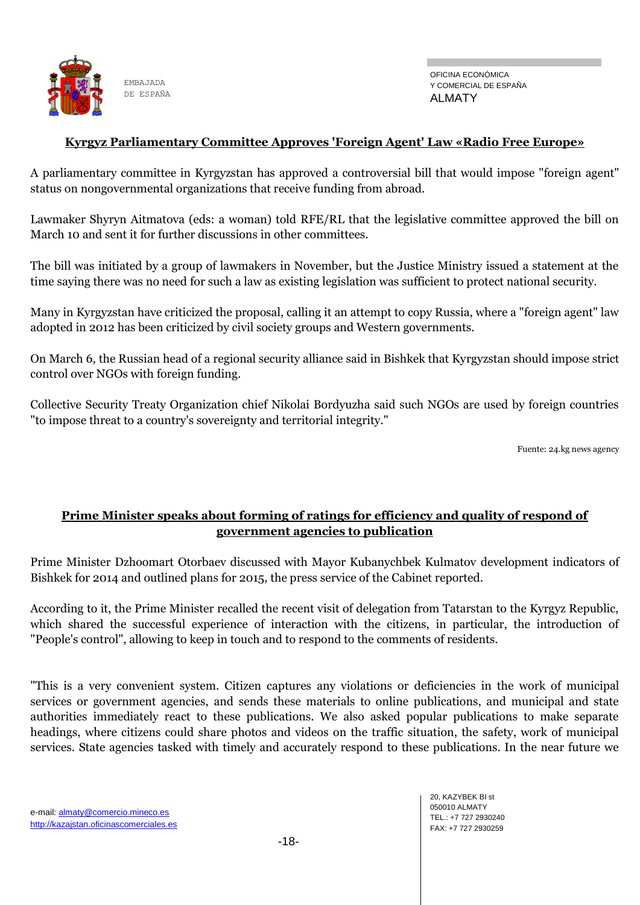

#### **Kyrgyz Parliamentary Committee Approves 'Foreign Agent' Law «Radio Free Europe»**

A parliamentary committee in Kyrgyzstan has approved a controversial bill that would impose "foreign agent" status on nongovernmental organizations that receive funding from abroad.

Lawmaker Shyryn Aitmatova (eds: a woman) told RFE/RL that the legislative committee approved the bill on March 10 and sent it for further discussions in other committees.

The bill was initiated by a group of lawmakers in November, but the Justice Ministry issued a statement at the time saying there was no need for such a law as existing legislation was sufficient to protect national security.

Many in Kyrgyzstan have criticized the proposal, calling it an attempt to copy Russia, where a "foreign agent" law adopted in 2012 has been criticized by civil society groups and Western governments.

On March 6, the Russian head of a regional security alliance said in Bishkek that Kyrgyzstan should impose strict control over NGOs with foreign funding.

Collective Security Treaty Organization chief Nikolai Bordyuzha said such NGOs are used by foreign countries "to impose threat to a country's sovereignty and territorial integrity."

Fuente: 24.kg news agency

### **Prime Minister speaks about forming of ratings for efficiency and quality of respond of government agencies to publication**

Prime Minister Dzhoomart Otorbaev discussed with Mayor Kubanychbek Kulmatov development indicators of Bishkek for 2014 and outlined plans for 2015, the press service of the Cabinet reported.

According to it, the Prime Minister recalled the recent visit of delegation from Tatarstan to the Kyrgyz Republic, which shared the successful experience of interaction with the citizens, in particular, the introduction of "People's control", allowing to keep in touch and to respond to the comments of residents.

"This is a very convenient system. Citizen captures any violations or deficiencies in the work of municipal services or government agencies, and sends these materials to online publications, and municipal and state authorities immediately react to these publications. We also asked popular publications to make separate headings, where citizens could share photos and videos on the traffic situation, the safety, work of municipal services. State agencies tasked with timely and accurately respond to these publications. In the near future we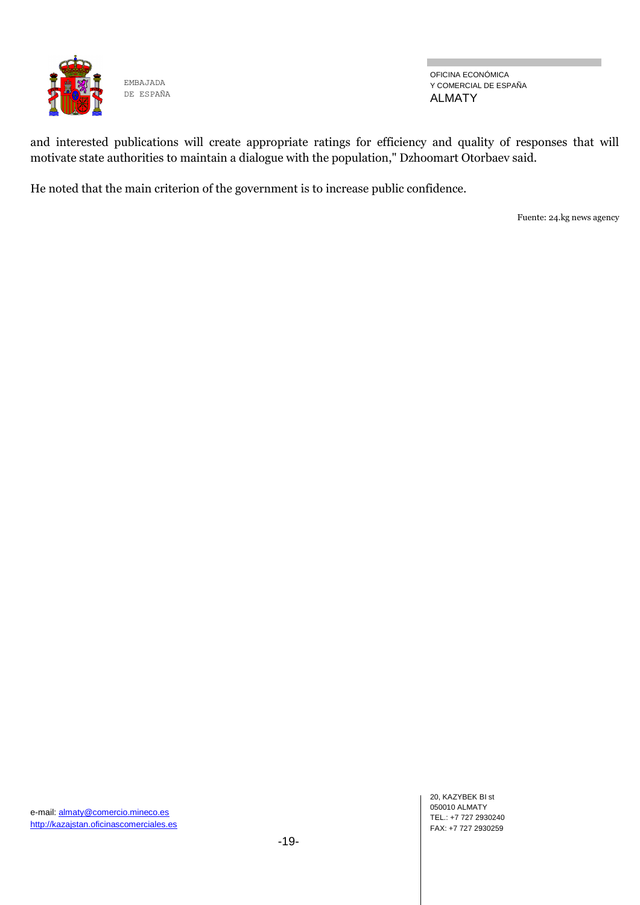

OFICINA ECONÓMICA Y COMERCIAL DE ESPAÑA ALMATY

п

and interested publications will create appropriate ratings for efficiency and quality of responses that will motivate state authorities to maintain a dialogue with the population," Dzhoomart Otorbaev said.

He noted that the main criterion of the government is to increase public confidence.

Fuente: 24.kg news agency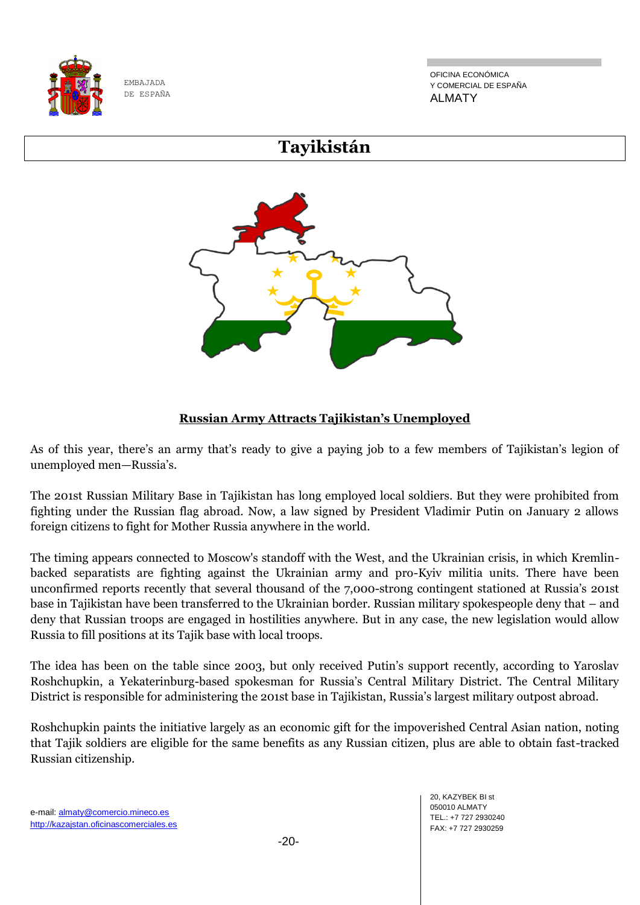

OFICINA ECONÓMICA Y COMERCIAL DE ESPAÑA ALMATY

## **Tayikistán**



## **Russian Army Attracts Tajikistan's Unemployed**

As of this year, there's an army that's ready to give a paying job to a few members of Tajikistan's legion of unemployed men—Russia's.

The 201st Russian Military Base in Tajikistan has long employed local soldiers. But they were prohibited from fighting under the Russian flag abroad. Now, a law signed by President Vladimir Putin on January 2 allows foreign citizens to fight for Mother Russia anywhere in the world.

The timing appears connected to Moscow's standoff with the West, and the Ukrainian crisis, in which Kremlinbacked separatists are fighting against the Ukrainian army and pro-Kyiv militia units. There have been unconfirmed reports recently that several thousand of the 7,000-strong contingent stationed at Russia's 201st base in Tajikistan have been transferred to the Ukrainian border. Russian military spokespeople deny that – and deny that Russian troops are engaged in hostilities anywhere. But in any case, the new legislation would allow Russia to fill positions at its Tajik base with local troops.

The idea has been on the table since 2003, but only received Putin's support recently, according to Yaroslav Roshchupkin, a Yekaterinburg-based spokesman for Russia's Central Military District. The Central Military District is responsible for administering the 201st base in Tajikistan, Russia's largest military outpost abroad.

Roshchupkin paints the initiative largely as an economic gift for the impoverished Central Asian nation, noting that Tajik soldiers are eligible for the same benefits as any Russian citizen, plus are able to obtain fast-tracked Russian citizenship.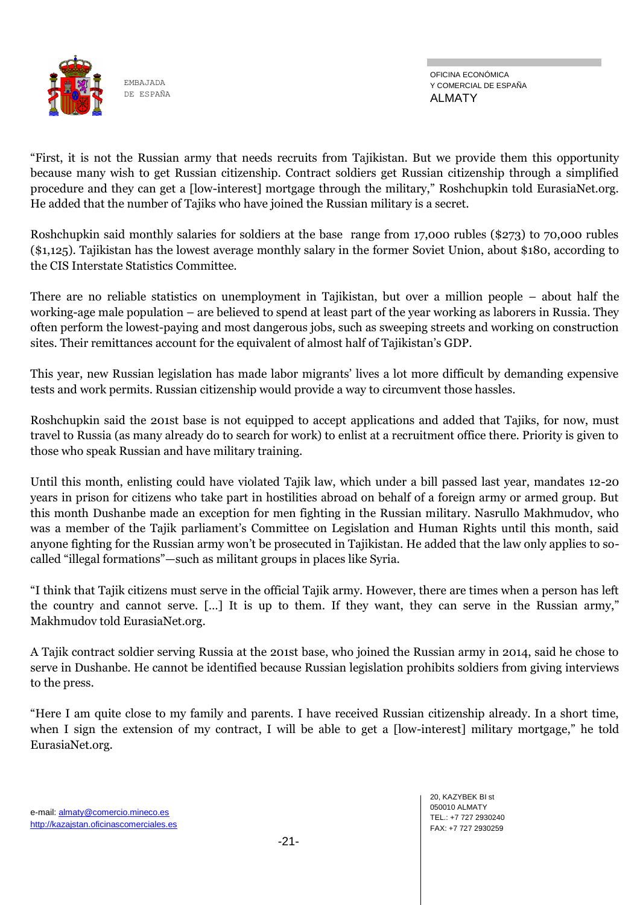

―First, it is not the Russian army that needs recruits from Tajikistan. But we provide them this opportunity because many wish to get Russian citizenship. Contract soldiers get Russian citizenship through a simplified procedure and they can get a [low-interest] mortgage through the military," Roshchupkin told EurasiaNet.org. He added that the number of Tajiks who have joined the Russian military is a secret.

Roshchupkin said monthly salaries for soldiers at the base range from 17,000 rubles (\$273) to 70,000 rubles (\$1,125). Tajikistan has the lowest average monthly salary in the former Soviet Union, about \$180, according to the CIS Interstate Statistics Committee.

There are no reliable statistics on unemployment in Tajikistan, but over a million people – about half the working-age male population – are believed to spend at least part of the year working as laborers in Russia. They often perform the lowest-paying and most dangerous jobs, such as sweeping streets and working on construction sites. Their remittances account for the equivalent of almost half of Tajikistan's GDP.

This year, new Russian legislation has made labor migrants' lives a lot more difficult by demanding expensive tests and work permits. Russian citizenship would provide a way to circumvent those hassles.

Roshchupkin said the 201st base is not equipped to accept applications and added that Tajiks, for now, must travel to Russia (as many already do to search for work) to enlist at a recruitment office there. Priority is given to those who speak Russian and have military training.

Until this month, enlisting could have violated Tajik law, which under a bill passed last year, mandates 12-20 years in prison for citizens who take part in hostilities abroad on behalf of a foreign army or armed group. But this month Dushanbe made an exception for men fighting in the Russian military. Nasrullo Makhmudov, who was a member of the Tajik parliament's Committee on Legislation and Human Rights until this month, said anyone fighting for the Russian army won't be prosecuted in Tajikistan. He added that the law only applies to socalled "illegal formations"—such as militant groups in places like Syria.

―I think that Tajik citizens must serve in the official Tajik army. However, there are times when a person has left the country and cannot serve. [...] It is up to them. If they want, they can serve in the Russian army," Makhmudov told EurasiaNet.org.

A Tajik contract soldier serving Russia at the 201st base, who joined the Russian army in 2014, said he chose to serve in Dushanbe. He cannot be identified because Russian legislation prohibits soldiers from giving interviews to the press.

―Here I am quite close to my family and parents. I have received Russian citizenship already. In a short time, when I sign the extension of my contract, I will be able to get a [low-interest] military mortgage," he told EurasiaNet.org.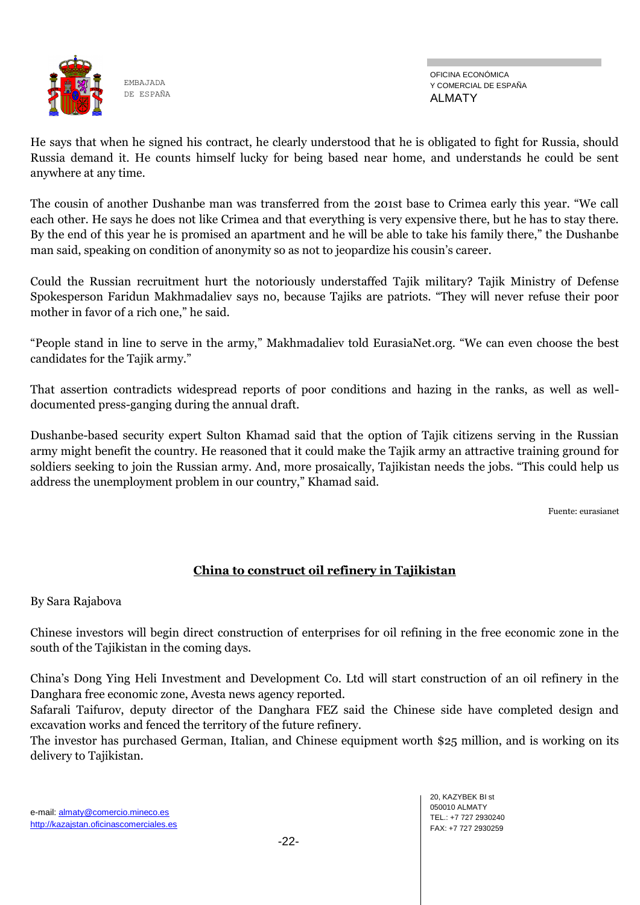

OFICINA ECONÓMICA Y COMERCIAL DE ESPAÑA ALMATY

He says that when he signed his contract, he clearly understood that he is obligated to fight for Russia, should Russia demand it. He counts himself lucky for being based near home, and understands he could be sent anywhere at any time.

The cousin of another Dushanbe man was transferred from the 201st base to Crimea early this year. "We call each other. He says he does not like Crimea and that everything is very expensive there, but he has to stay there. By the end of this year he is promised an apartment and he will be able to take his family there," the Dushanbe man said, speaking on condition of anonymity so as not to jeopardize his cousin's career.

Could the Russian recruitment hurt the notoriously understaffed Tajik military? Tajik Ministry of Defense Spokesperson Faridun Makhmadaliev says no, because Tajiks are patriots. "They will never refuse their poor mother in favor of a rich one," he said.

"People stand in line to serve in the army," Makhmadaliev told EurasiaNet.org. "We can even choose the best candidates for the Tajik army."

That assertion contradicts widespread reports of poor conditions and hazing in the ranks, as well as welldocumented press-ganging during the annual draft.

Dushanbe-based security expert Sulton Khamad said that the option of Tajik citizens serving in the Russian army might benefit the country. He reasoned that it could make the Tajik army an attractive training ground for soldiers seeking to join the Russian army. And, more prosaically, Tajikistan needs the jobs. "This could help us address the unemployment problem in our country," Khamad said.

Fuente: eurasianet

## **China to construct oil refinery in Tajikistan**

By Sara Rajabova

Chinese investors will begin direct construction of enterprises for oil refining in the free economic zone in the south of the Tajikistan in the coming days.

China's Dong Ying Heli Investment and Development Co. Ltd will start construction of an oil refinery in the Danghara free economic zone, Avesta news agency reported.

Safarali Taifurov, deputy director of the Danghara FEZ said the Chinese side have completed design and excavation works and fenced the territory of the future refinery.

The investor has purchased German, Italian, and Chinese equipment worth \$25 million, and is working on its delivery to Tajikistan.

20, KAZYBEK BI st